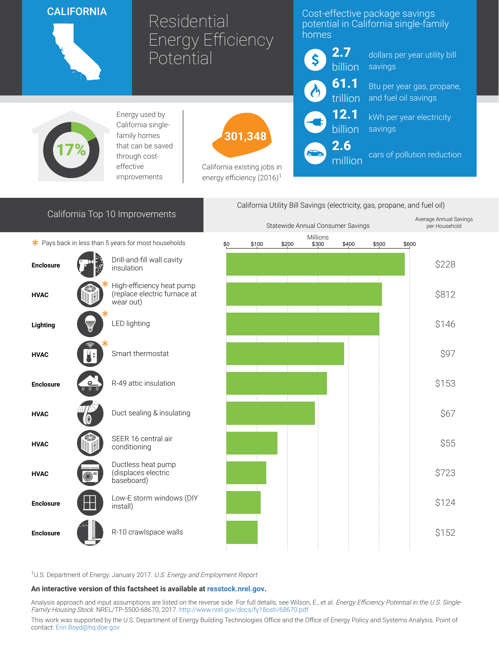## **CALIFORNIA**



# Residential Energy Efficiency Potential

### Cost-effective package savings potential in California single-family homes



million

dollars per year utility bill savings

trillion and fuel oil savings Btu per year gas, propane,

> kWh per year electricity savings

cars of pollution reduction



Energy used by California singlefamily homes that can be saved through costeffective improvements



California existing jobs in energy efficiency  $(2016)^1$ 

| California Top 10 Improvements                       |                                                 |                                                                        | California Utility Bill Savings (electricity, gas, propane, and fuel oil) |       |       |                   |       |       |       |                                         |
|------------------------------------------------------|-------------------------------------------------|------------------------------------------------------------------------|---------------------------------------------------------------------------|-------|-------|-------------------|-------|-------|-------|-----------------------------------------|
|                                                      |                                                 |                                                                        | Statewide Annual Consumer Savings                                         |       |       |                   |       |       |       | Average Annual Savings<br>per Household |
| * Pays back in less than 5 years for most households |                                                 |                                                                        | \$0                                                                       | \$100 | \$200 | Millions<br>\$300 | \$400 | \$500 | \$600 |                                         |
| <b>Enclosure</b>                                     |                                                 | Drill-and-fill wall cavity<br>insulation                               |                                                                           |       |       |                   |       |       |       | \$228                                   |
| <b>HVAC</b>                                          |                                                 | High-efficiency heat pump<br>(replace electric furnace at<br>wear out) |                                                                           |       |       |                   |       |       |       | \$812                                   |
| Lighting                                             | W                                               | LED lighting                                                           |                                                                           |       |       |                   |       |       |       | \$146                                   |
| <b>HVAC</b>                                          |                                                 | Smart thermostat                                                       |                                                                           |       |       |                   |       |       |       | \$97                                    |
| <b>Enclosure</b>                                     | $\overline{n}\ \overline{n}\ \overline{\imath}$ | R-49 attic insulation                                                  |                                                                           |       |       |                   |       |       |       | \$153                                   |
| <b>HVAC</b>                                          |                                                 | Duct sealing & insulating                                              |                                                                           |       |       |                   |       |       |       | \$67                                    |
| <b>HVAC</b>                                          |                                                 | SEER 16 central air<br>conditioning                                    |                                                                           |       |       |                   |       |       |       | \$55                                    |
| <b>HVAC</b>                                          |                                                 | Ductless heat pump<br>(displaces electric<br>baseboard)                |                                                                           |       |       |                   |       |       |       | \$723                                   |
| <b>Enclosure</b>                                     |                                                 | Low-E storm windows (DIY<br>install)                                   |                                                                           |       |       |                   |       |       |       | \$124                                   |
| <b>Enclosure</b>                                     |                                                 | R-10 crawlspace walls                                                  |                                                                           |       |       |                   |       |       |       | \$152                                   |

<sup>1</sup>U.S. Department of Energy. January 2017. U.S. Energy and Employment Report

#### An interactive version of this factsheet is available at [resstock.nrel.gov.](https://resstock.nrel.gov/)

Analysis approach and input assumptions are listed on the reverse side. For full details, see Wilson, E., et al. *Energy Efficiency Potential in the U.S. Single*-Family Housing Stock. NREL/TP-5500-68670, 2017. <http://www.nrel.gov/docs/fy18osti/68670.pdf>

This work was supported by the U.S. Department of Energy Building Technologies Office and the Office of Energy Policy and Systems Analysis. Point of contact: [Erin.Boyd@hq.doe.gov](mailto:Erin.Boyd@hq.doe.gov)